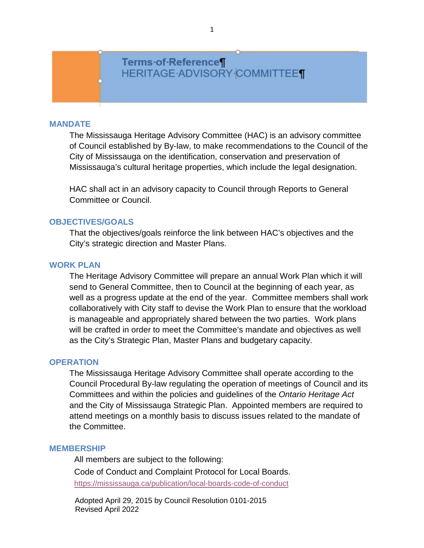# Terms of Reference¶ **HERITAGE ADVISORY COMMITTEET**

#### **MANDATE**

The Mississauga Heritage Advisory Committee (HAC) is an advisory committee of Council established by By-law, to make recommendations to the Council of the City of Mississauga on the identification, conservation and preservation of Mississauga's cultural heritage properties, which include the legal designation.

HAC shall act in an advisory capacity to Council through Reports to General Committee or Council.

### **OBJECTIVES/GOALS**

That the objectives/goals reinforce the link between HAC's objectives and the City's strategic direction and Master Plans.

### **WORK PLAN**

The Heritage Advisory Committee will prepare an annual Work Plan which it will send to General Committee, then to Council at the beginning of each year, as well as a progress update at the end of the year. Committee members shall work collaboratively with City staff to devise the Work Plan to ensure that the workload is manageable and appropriately shared between the two parties. Work plans will be crafted in order to meet the Committee's mandate and objectives as well as the City's Strategic Plan, Master Plans and budgetary capacity.

### **OPERATION**

The Mississauga Heritage Advisory Committee shall operate according to the Council Procedural By-law regulating the operation of meetings of Council and its Committees and within the policies and guidelines of the *Ontario Heritage Act*  and the City of Mississauga Strategic Plan. Appointed members are required to attend meetings on a monthly basis to discuss issues related to the mandate of the Committee.

#### **MEMBERSHIP**

All members are subject to the following: Code of Conduct and Complaint Protocol for Local Boards. <https://mississauga.ca/publication/local-boards-code-of-conduct>

Adopted April 29, 2015 by Council Resolution 0101-2015 Revised April 2022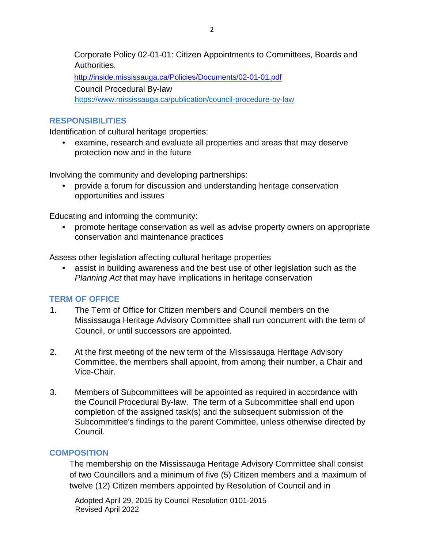Corporate Policy 02-01-01: Citizen Appointments to Committees, Boards and Authorities.

<http://inside.mississauga.ca/Policies/Documents/02-01-01.pdf> Council Procedural By-law <https://www.mississauga.ca/publication/council-procedure-by-law>

# **RESPONSIBILITIES**

Identification of cultural heritage properties:

• examine, research and evaluate all properties and areas that may deserve protection now and in the future

Involving the community and developing partnerships:

• provide a forum for discussion and understanding heritage conservation opportunities and issues

Educating and informing the community:

• promote heritage conservation as well as advise property owners on appropriate conservation and maintenance practices

Assess other legislation affecting cultural heritage properties

• assist in building awareness and the best use of other legislation such as the *Planning Act* that may have implications in heritage conservation

# **TERM OF OFFICE**

- 1. The Term of Office for Citizen members and Council members on the Mississauga Heritage Advisory Committee shall run concurrent with the term of Council, or until successors are appointed.
- 2. At the first meeting of the new term of the Mississauga Heritage Advisory Committee, the members shall appoint, from among their number, a Chair and Vice-Chair.
- 3. Members of Subcommittees will be appointed as required in accordance with the Council Procedural By-law. The term of a Subcommittee shall end upon completion of the assigned task(s) and the subsequent submission of the Subcommittee's findings to the parent Committee, unless otherwise directed by Council.

# **COMPOSITION**

The membership on the Mississauga Heritage Advisory Committee shall consist of two Councillors and a minimum of five (5) Citizen members and a maximum of twelve (12) Citizen members appointed by Resolution of Council and in

Adopted April 29, 2015 by Council Resolution 0101-2015 Revised April 2022